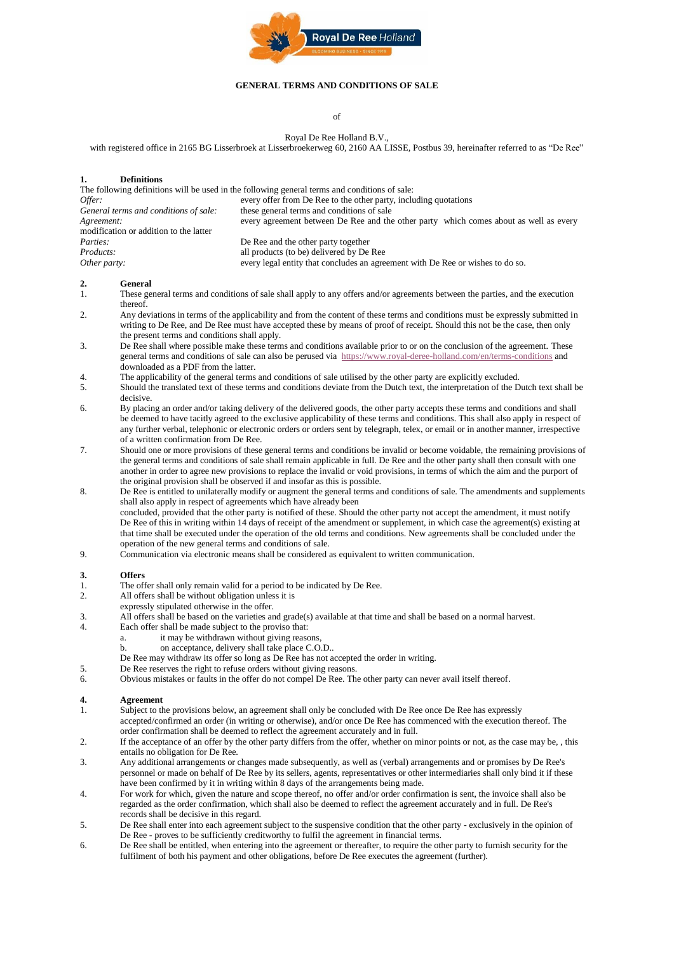

#### **GENERAL TERMS AND CONDITIONS OF SALE**

of

Royal De Ree Holland B.V., with registered office in 2165 BG Lisserbroek at Lisserbroekerweg 60, 2160 AA LISSE, Postbus 39, hereinafter referred to as "De Ree"

#### **1. Definitions**

| The following definitions will be used in the following general terms and conditions of sale: |                                                                                       |
|-----------------------------------------------------------------------------------------------|---------------------------------------------------------------------------------------|
| Offer:                                                                                        | every offer from De Ree to the other party, including quotations                      |
| General terms and conditions of sale:                                                         | these general terms and conditions of sale                                            |
| Agreement:                                                                                    | every agreement between De Ree and the other party which comes about as well as every |
| modification or addition to the latter                                                        |                                                                                       |
| Parties:                                                                                      | De Ree and the other party together                                                   |
| Products:                                                                                     | all products (to be) delivered by De Ree                                              |
| Other party:                                                                                  | every legal entity that concludes an agreement with De Ree or wishes to do so.        |
|                                                                                               |                                                                                       |

#### **2. General**

- 1. These general terms and conditions of sale shall apply to any offers and/or agreements between the parties, and the execution thereof.
- 2. Any deviations in terms of the applicability and from the content of these terms and conditions must be expressly submitted in writing to De Ree, and De Ree must have accepted these by means of proof of receipt. Should this not be the case, then only the present terms and conditions shall apply.
- 3. De Ree shall where possible make these terms and conditions available prior to or on the conclusion of the agreement. These general terms and conditions of sale can also be perused via<https://www.royal-deree-holland.com/en/terms-conditions> and downloaded as a PDF from the latter.
- 4. The applicability of the general terms and conditions of sale utilised by the other party are explicitly excluded.
- 5. Should the translated text of these terms and conditions deviate from the Dutch text, the interpretation of the Dutch text shall be decisive.
- 6. By placing an order and/or taking delivery of the delivered goods, the other party accepts these terms and conditions and shall be deemed to have tacitly agreed to the exclusive applicability of these terms and conditions. This shall also apply in respect of any further verbal, telephonic or electronic orders or orders sent by telegraph, telex, or email or in another manner, irrespective of a written confirmation from De Ree.
- 7. Should one or more provisions of these general terms and conditions be invalid or become voidable, the remaining provisions of the general terms and conditions of sale shall remain applicable in full. De Ree and the other party shall then consult with one another in order to agree new provisions to replace the invalid or void provisions, in terms of which the aim and the purport of the original provision shall be observed if and insofar as this is possible.
- 8. De Ree is entitled to unilaterally modify or augment the general terms and conditions of sale. The amendments and supplements shall also apply in respect of agreements which have already been concluded, provided that the other party is notified of these. Should the other party not accept the amendment, it must notify De Ree of this in writing within 14 days of receipt of the amendment or supplement, in which case the agreement(s) existing at that time shall be executed under the operation of the old terms and conditions. New agreements shall be concluded under the operation of the new general terms and conditions of sale.
- 9. Communication via electronic means shall be considered as equivalent to written communication.

#### **3. Offers**

- 1. The offer shall only remain valid for a period to be indicated by De Ree.
- 2. All offers shall be without obligation unless it is
- expressly stipulated otherwise in the offer.
- 3. All offers shall be based on the varieties and grade(s) available at that time and shall be based on a normal harvest.
	- Each offer shall be made subject to the proviso that:
		- a. it may be withdrawn without giving reasons,
		- b. on acceptance, delivery shall take place C.O.D..
		- De Ree may withdraw its offer so long as De Ree has not accepted the order in writing.
- 5. De Ree reserves the right to refuse orders without giving reasons.
- 6. Obvious mistakes or faults in the offer do not compel De Ree. The other party can never avail itself thereof.

#### **4. Agreement**

- 1. Subject to the provisions below, an agreement shall only be concluded with De Ree once De Ree has expressly accepted/confirmed an order (in writing or otherwise), and/or once De Ree has commenced with the execution thereof. The order confirmation shall be deemed to reflect the agreement accurately and in full.
- 2. If the acceptance of an offer by the other party differs from the offer, whether on minor points or not, as the case may be, , this entails no obligation for De Ree.
- 3. Any additional arrangements or changes made subsequently, as well as (verbal) arrangements and or promises by De Ree's personnel or made on behalf of De Ree by its sellers, agents, representatives or other intermediaries shall only bind it if these have been confirmed by it in writing within 8 days of the arrangements being made.
- 4. For work for which, given the nature and scope thereof, no offer and/or order confirmation is sent, the invoice shall also be regarded as the order confirmation, which shall also be deemed to reflect the agreement accurately and in full. De Ree's records shall be decisive in this regard.
- 5. De Ree shall enter into each agreement subject to the suspensive condition that the other party exclusively in the opinion of De Ree - proves to be sufficiently creditworthy to fulfil the agreement in financial terms.
- 6. De Ree shall be entitled, when entering into the agreement or thereafter, to require the other party to furnish security for the fulfilment of both his payment and other obligations, before De Ree executes the agreement (further).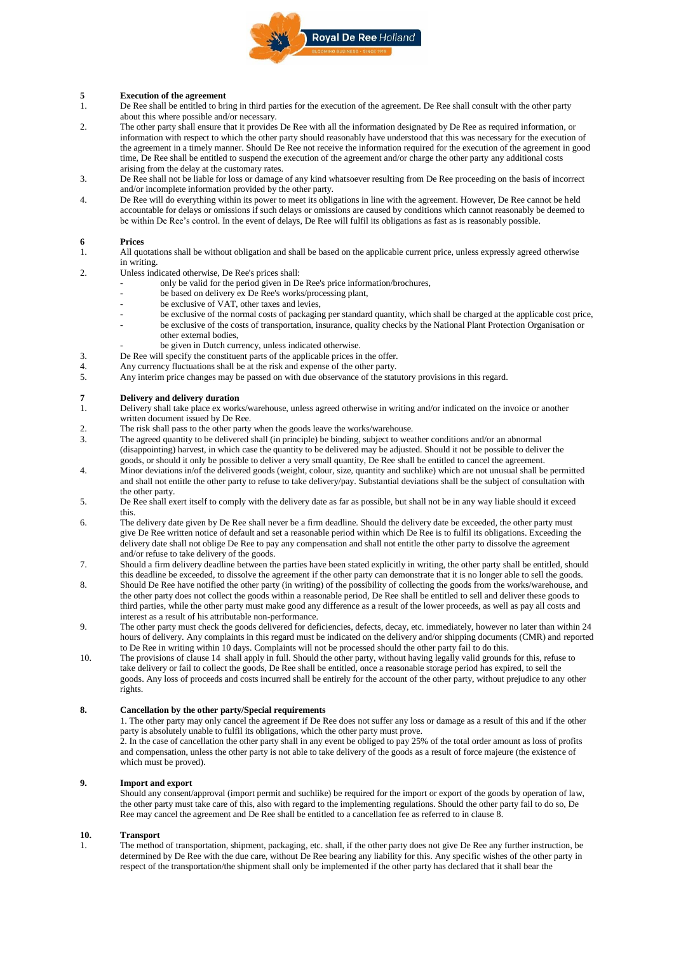

## **5 Execution of the agreement** 1. De Ree shall be entitled to bri

- 1. De Ree shall be entitled to bring in third parties for the execution of the agreement. De Ree shall consult with the other party about this where possible and/or necessary.
- 2. The other party shall ensure that it provides De Ree with all the information designated by De Ree as required information, or information with respect to which the other party should reasonably have understood that this was necessary for the execution of the agreement in a timely manner. Should De Ree not receive the information required for the execution of the agreement in good time, De Ree shall be entitled to suspend the execution of the agreement and/or charge the other party any additional costs arising from the delay at the customary rates.
- 3. De Ree shall not be liable for loss or damage of any kind whatsoever resulting from De Ree proceeding on the basis of incorrect and/or incomplete information provided by the other party.
- 4. De Ree will do everything within its power to meet its obligations in line with the agreement. However, De Ree cannot be held accountable for delays or omissions if such delays or omissions are caused by conditions which cannot reasonably be deemed to be within De Ree's control. In the event of delays, De Ree will fulfil its obligations as fast as is reasonably possible.

# **6 Prices**

- 1. All quotations shall be without obligation and shall be based on the applicable current price, unless expressly agreed otherwise in writing.
- 2. Unless indicated otherwise, De Ree's prices shall:
	- only be valid for the period given in De Ree's price information/brochures,
	- be based on delivery ex De Ree's works/processing plant,
	- be exclusive of VAT, other taxes and levies,
	- be exclusive of the normal costs of packaging per standard quantity, which shall be charged at the applicable cost price, be exclusive of the costs of transportation, insurance, quality checks by the National Plant Protection Organisation or other external bodies,
		- be given in Dutch currency, unless indicated otherwise.
- 3. De Ree will specify the constituent parts of the applicable prices in the offer.<br>4. Any currency fluctuations shall be at the risk and expense of the other party.
- Any currency fluctuations shall be at the risk and expense of the other party.
- 5. Any interim price changes may be passed on with due observance of the statutory provisions in this regard.

#### **7 Delivery and delivery duration**

- 1. Delivery shall take place ex works/warehouse, unless agreed otherwise in writing and/or indicated on the invoice or another written document issued by De Ree.
- 2. The risk shall pass to the other party when the goods leave the works/warehouse.<br>The agreed quantity to be delivered shall (in principle) be binding subject to weak
- 3. The agreed quantity to be delivered shall (in principle) be binding, subject to weather conditions and/or an abnormal (disappointing) harvest, in which case the quantity to be delivered may be adjusted. Should it not be possible to deliver the goods, or should it only be possible to deliver a very small quantity, De Ree shall be entitled to cancel the agreement.
- 4. Minor deviations in/of the delivered goods (weight, colour, size, quantity and suchlike) which are not unusual shall be permitted and shall not entitle the other party to refuse to take delivery/pay. Substantial deviations shall be the subject of consultation with the other party.
- 5. De Ree shall exert itself to comply with the delivery date as far as possible, but shall not be in any way liable should it exceed this.
- 6. The delivery date given by De Ree shall never be a firm deadline. Should the delivery date be exceeded, the other party must give De Ree written notice of default and set a reasonable period within which De Ree is to fulfil its obligations. Exceeding the delivery date shall not oblige De Ree to pay any compensation and shall not entitle the other party to dissolve the agreement and/or refuse to take delivery of the goods.
- 7. Should a firm delivery deadline between the parties have been stated explicitly in writing, the other party shall be entitled, should this deadline be exceeded, to dissolve the agreement if the other party can demonstrate that it is no longer able to sell the goods.
- 8. Should De Ree have notified the other party (in writing) of the possibility of collecting the goods from the works/warehouse, and the other party does not collect the goods within a reasonable period, De Ree shall be entitled to sell and deliver these goods to third parties, while the other party must make good any difference as a result of the lower proceeds, as well as pay all costs and interest as a result of his attributable non-performance.
- 9. The other party must check the goods delivered for deficiencies, defects, decay, etc. immediately, however no later than within 24 hours of delivery. Any complaints in this regard must be indicated on the delivery and/or shipping documents (CMR) and reported to De Ree in writing within 10 days. Complaints will not be processed should the other party fail to do this.
- 10. The provisions of clause 14 shall apply in full. Should the other party, without having legally valid grounds for this, refuse to take delivery or fail to collect the goods, De Ree shall be entitled, once a reasonable storage period has expired, to sell the goods. Any loss of proceeds and costs incurred shall be entirely for the account of the other party, without prejudice to any other rights.

#### **8. Cancellation by the other party/Special requirements**

1. The other party may only cancel the agreement if De Ree does not suffer any loss or damage as a result of this and if the other party is absolutely unable to fulfil its obligations, which the other party must prove.

2. In the case of cancellation the other party shall in any event be obliged to pay 25% of the total order amount as loss of profits and compensation, unless the other party is not able to take delivery of the goods as a result of force majeure (the existence of which must be proved).

#### **9. Import and export**

Should any consent/approval (import permit and suchlike) be required for the import or export of the goods by operation of law, the other party must take care of this, also with regard to the implementing regulations. Should the other party fail to do so, De Ree may cancel the agreement and De Ree shall be entitled to a cancellation fee as referred to in clause 8.

#### **10. Transport**

1. The method of transportation, shipment, packaging, etc. shall, if the other party does not give De Ree any further instruction, be determined by De Ree with the due care, without De Ree bearing any liability for this. Any specific wishes of the other party in respect of the transportation/the shipment shall only be implemented if the other party has declared that it shall bear the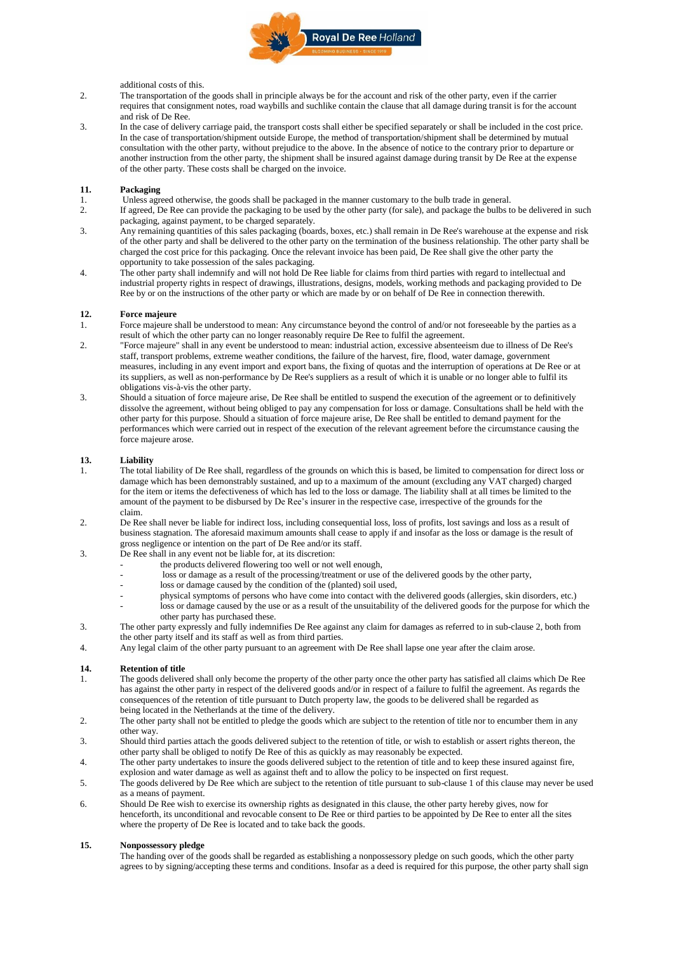

### additional costs of this.

- 2. The transportation of the goods shall in principle always be for the account and risk of the other party, even if the carrier requires that consignment notes, road waybills and suchlike contain the clause that all damage during transit is for the account and risk of De Ree.
- 3. In the case of delivery carriage paid, the transport costs shall either be specified separately or shall be included in the cost price. In the case of transportation/shipment outside Europe, the method of transportation/shipment shall be determined by mutual consultation with the other party, without prejudice to the above. In the absence of notice to the contrary prior to departure or another instruction from the other party, the shipment shall be insured against damage during transit by De Ree at the expense of the other party. These costs shall be charged on the invoice.

#### **11. Packaging**

- 1. Unless agreed otherwise, the goods shall be packaged in the manner customary to the bulb trade in general.<br>2. If agreed De Ree can provide the packaging to be used by the other party (for sale) and package the bulbs t
- 2. If agreed, De Ree can provide the packaging to be used by the other party (for sale), and package the bulbs to be delivered in such packaging, against payment, to be charged separately.
- 3. Any remaining quantities of this sales packaging (boards, boxes, etc.) shall remain in De Ree's warehouse at the expense and risk of the other party and shall be delivered to the other party on the termination of the business relationship. The other party shall be charged the cost price for this packaging. Once the relevant invoice has been paid, De Ree shall give the other party the opportunity to take possession of the sales packaging.
- 4. The other party shall indemnify and will not hold De Ree liable for claims from third parties with regard to intellectual and industrial property rights in respect of drawings, illustrations, designs, models, working methods and packaging provided to De Ree by or on the instructions of the other party or which are made by or on behalf of De Ree in connection therewith.

#### **12. Force majeure**

- 1. Force majeure shall be understood to mean: Any circumstance beyond the control of and/or not foreseeable by the parties as a result of which the other party can no longer reasonably require De Ree to fulfil the agreement.
- 2. "Force majeure" shall in any event be understood to mean: industrial action, excessive absenteeism due to illness of De Ree's staff, transport problems, extreme weather conditions, the failure of the harvest, fire, flood, water damage, government measures, including in any event import and export bans, the fixing of quotas and the interruption of operations at De Ree or at its suppliers, as well as non-performance by De Ree's suppliers as a result of which it is unable or no longer able to fulfil its obligations vis-à-vis the other party.
- 3. Should a situation of force majeure arise, De Ree shall be entitled to suspend the execution of the agreement or to definitively dissolve the agreement, without being obliged to pay any compensation for loss or damage. Consultations shall be held with the other party for this purpose. Should a situation of force majeure arise, De Ree shall be entitled to demand payment for the performances which were carried out in respect of the execution of the relevant agreement before the circumstance causing the force majeure arose.

## **13. Liability**

- 1. The total liability of De Ree shall, regardless of the grounds on which this is based, be limited to compensation for direct loss or damage which has been demonstrably sustained, and up to a maximum of the amount (excluding any VAT charged) charged for the item or items the defectiveness of which has led to the loss or damage. The liability shall at all times be limited to the amount of the payment to be disbursed by De Ree's insurer in the respective case, irrespective of the grounds for the claim.
- 2. De Ree shall never be liable for indirect loss, including consequential loss, loss of profits, lost savings and loss as a result of business stagnation. The aforesaid maximum amounts shall cease to apply if and insofar as the loss or damage is the result of gross negligence or intention on the part of De Ree and/or its staff.
- 3. De Ree shall in any event not be liable for, at its discretion:
	- the products delivered flowering too well or not well enough,
		- loss or damage as a result of the processing/treatment or use of the delivered goods by the other party,
	- loss or damage caused by the condition of the (planted) soil used,
	- physical symptoms of persons who have come into contact with the delivered goods (allergies, skin disorders, etc.)
	- loss or damage caused by the use or as a result of the unsuitability of the delivered goods for the purpose for which the other party has purchased these.
- 3. The other party expressly and fully indemnifies De Ree against any claim for damages as referred to in sub-clause 2, both from the other party itself and its staff as well as from third parties.
- 4. Any legal claim of the other party pursuant to an agreement with De Ree shall lapse one year after the claim arose.

#### **14. Retention of title**

- 1. The goods delivered shall only become the property of the other party once the other party has satisfied all claims which De Ree has against the other party in respect of the delivered goods and/or in respect of a failure to fulfil the agreement. As regards the consequences of the retention of title pursuant to Dutch property law, the goods to be delivered shall be regarded as being located in the Netherlands at the time of the delivery.
- 2. The other party shall not be entitled to pledge the goods which are subject to the retention of title nor to encumber them in any other way.
- 3. Should third parties attach the goods delivered subject to the retention of title, or wish to establish or assert rights thereon, the other party shall be obliged to notify De Ree of this as quickly as may reasonably be expected.
- 4. The other party undertakes to insure the goods delivered subject to the retention of title and to keep these insured against fire, explosion and water damage as well as against theft and to allow the policy to be inspected on first request.
- 5. The goods delivered by De Ree which are subject to the retention of title pursuant to sub-clause 1 of this clause may never be used as a means of payment.
- 6. Should De Ree wish to exercise its ownership rights as designated in this clause, the other party hereby gives, now for henceforth, its unconditional and revocable consent to De Ree or third parties to be appointed by De Ree to enter all the sites where the property of De Ree is located and to take back the goods.

#### **15. Nonpossessory pledge**

The handing over of the goods shall be regarded as establishing a nonpossessory pledge on such goods, which the other party agrees to by signing/accepting these terms and conditions. Insofar as a deed is required for this purpose, the other party shall sign